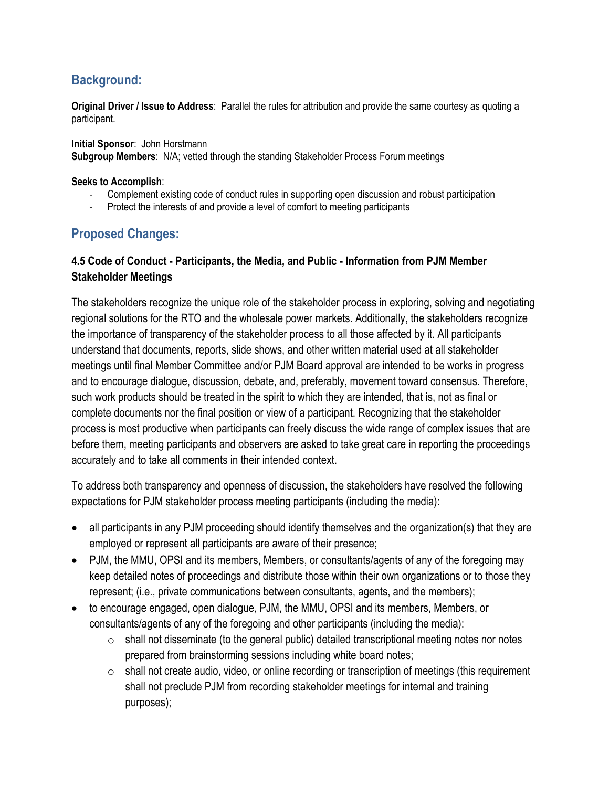## **Background:**

**Original Driver / Issue to Address**: Parallel the rules for attribution and provide the same courtesy as quoting a participant.

**Initial Sponsor**: John Horstmann **Subgroup Members**: N/A; vetted through the standing Stakeholder Process Forum meetings

## **Seeks to Accomplish**:

- Complement existing code of conduct rules in supporting open discussion and robust participation
- Protect the interests of and provide a level of comfort to meeting participants

## **Proposed Changes:**

## **4.5 Code of Conduct - Participants, the Media, and Public - Information from PJM Member Stakeholder Meetings**

The stakeholders recognize the unique role of the stakeholder process in exploring, solving and negotiating regional solutions for the RTO and the wholesale power markets. Additionally, the stakeholders recognize the importance of transparency of the stakeholder process to all those affected by it. All participants understand that documents, reports, slide shows, and other written material used at all stakeholder meetings until final Member Committee and/or PJM Board approval are intended to be works in progress and to encourage dialogue, discussion, debate, and, preferably, movement toward consensus. Therefore, such work products should be treated in the spirit to which they are intended, that is, not as final or complete documents nor the final position or view of a participant. Recognizing that the stakeholder process is most productive when participants can freely discuss the wide range of complex issues that are before them, meeting participants and observers are asked to take great care in reporting the proceedings accurately and to take all comments in their intended context.

To address both transparency and openness of discussion, the stakeholders have resolved the following expectations for PJM stakeholder process meeting participants (including the media):

- all participants in any PJM proceeding should identify themselves and the organization(s) that they are employed or represent all participants are aware of their presence;
- PJM, the MMU, OPSI and its members, Members, or consultants/agents of any of the foregoing may keep detailed notes of proceedings and distribute those within their own organizations or to those they represent; (i.e., private communications between consultants, agents, and the members);
- to encourage engaged, open dialogue, PJM, the MMU, OPSI and its members, Members, or consultants/agents of any of the foregoing and other participants (including the media):
	- o shall not disseminate (to the general public) detailed transcriptional meeting notes nor notes prepared from brainstorming sessions including white board notes;
	- $\circ$  shall not create audio, video, or online recording or transcription of meetings (this requirement shall not preclude PJM from recording stakeholder meetings for internal and training purposes);